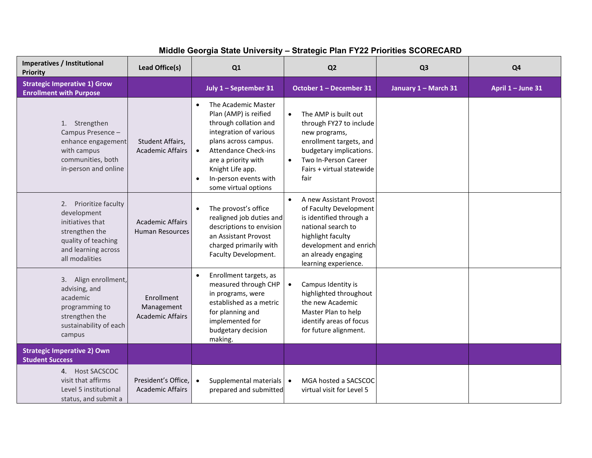## **Middle Georgia State University – Strategic Plan FY22 Priorities SCORECARD**

| Imperatives / Institutional<br><b>Priority</b>                                                                                             | Lead Office(s)                                      | Q1                                                                                                                                                                                                                                                                           | Q <sub>2</sub>                                                                                                                                                                                                | Q <sub>3</sub>       | Q <sub>4</sub>    |
|--------------------------------------------------------------------------------------------------------------------------------------------|-----------------------------------------------------|------------------------------------------------------------------------------------------------------------------------------------------------------------------------------------------------------------------------------------------------------------------------------|---------------------------------------------------------------------------------------------------------------------------------------------------------------------------------------------------------------|----------------------|-------------------|
| <b>Strategic Imperative 1) Grow</b><br><b>Enrollment with Purpose</b>                                                                      |                                                     | July 1 - September 31                                                                                                                                                                                                                                                        | October 1 - December 31                                                                                                                                                                                       | January 1 - March 31 | April 1 - June 31 |
| 1. Strengthen<br>Campus Presence -<br>enhance engagement<br>with campus<br>communities, both<br>in-person and online                       | Student Affairs,<br><b>Academic Affairs</b>         | The Academic Master<br>$\bullet$<br>Plan (AMP) is reified<br>through collation and<br>integration of various<br>plans across campus.<br><b>Attendance Check-ins</b><br>are a priority with<br>Knight Life app.<br>In-person events with<br>$\bullet$<br>some virtual options | The AMP is built out<br>$\bullet$<br>through FY27 to include<br>new programs,<br>enrollment targets, and<br>budgetary implications.<br>Two In-Person Career<br>$\bullet$<br>Fairs + virtual statewide<br>fair |                      |                   |
| 2. Prioritize faculty<br>development<br>initiatives that<br>strengthen the<br>quality of teaching<br>and learning across<br>all modalities | <b>Academic Affairs</b><br>Human Resources          | The provost's office<br>$\bullet$<br>realigned job duties and<br>descriptions to envision<br>an Assistant Provost<br>charged primarily with<br>Faculty Development.                                                                                                          | A new Assistant Provost<br>$\bullet$<br>of Faculty Development<br>is identified through a<br>national search to<br>highlight faculty<br>development and enrich<br>an already engaging<br>learning experience. |                      |                   |
| 3. Align enrollment,<br>advising, and<br>academic<br>programming to<br>strengthen the<br>sustainability of each<br>campus                  | Enrollment<br>Management<br><b>Academic Affairs</b> | Enrollment targets, as<br>measured through CHP<br>in programs, were<br>established as a metric<br>for planning and<br>implemented for<br>budgetary decision<br>making.                                                                                                       | Campus Identity is<br>$\bullet$<br>highlighted throughout<br>the new Academic<br>Master Plan to help<br>identify areas of focus<br>for future alignment.                                                      |                      |                   |
| <b>Strategic Imperative 2) Own</b><br><b>Student Success</b>                                                                               |                                                     |                                                                                                                                                                                                                                                                              |                                                                                                                                                                                                               |                      |                   |
| 4. Host SACSCOC<br>visit that affirms<br>Level 5 institutional<br>status, and submit a                                                     | President's Office,<br><b>Academic Affairs</b>      | Supplemental materials   •<br>$\bullet$<br>prepared and submitted                                                                                                                                                                                                            | MGA hosted a SACSCOC<br>virtual visit for Level 5                                                                                                                                                             |                      |                   |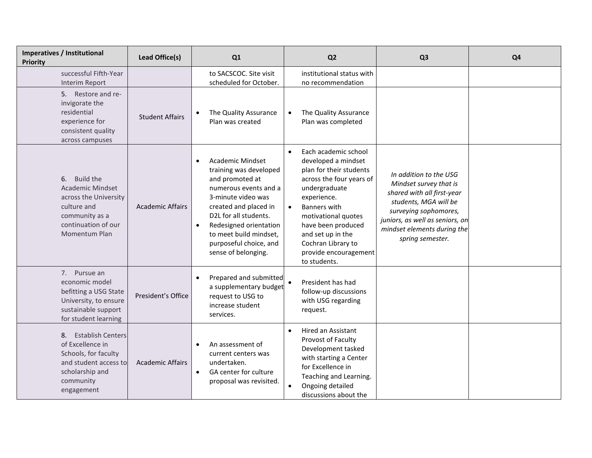| Imperatives / Institutional<br><b>Priority</b>                                                                                               | Lead Office(s)          | Q1                                                                                                                                                                                                                                                                                                   | Q <sub>2</sub>                                                                                                                                                                                                                                                                                                       | Q <sub>3</sub>                                                                                                                                                                                                         | Q <sub>4</sub> |
|----------------------------------------------------------------------------------------------------------------------------------------------|-------------------------|------------------------------------------------------------------------------------------------------------------------------------------------------------------------------------------------------------------------------------------------------------------------------------------------------|----------------------------------------------------------------------------------------------------------------------------------------------------------------------------------------------------------------------------------------------------------------------------------------------------------------------|------------------------------------------------------------------------------------------------------------------------------------------------------------------------------------------------------------------------|----------------|
| successful Fifth-Year<br>Interim Report                                                                                                      |                         | to SACSCOC. Site visit<br>scheduled for October.                                                                                                                                                                                                                                                     | institutional status with<br>no recommendation                                                                                                                                                                                                                                                                       |                                                                                                                                                                                                                        |                |
| 5. Restore and re-<br>invigorate the<br>residential<br>experience for<br>consistent quality<br>across campuses                               | <b>Student Affairs</b>  | The Quality Assurance<br>Plan was created                                                                                                                                                                                                                                                            | The Quality Assurance<br>$\bullet$<br>Plan was completed                                                                                                                                                                                                                                                             |                                                                                                                                                                                                                        |                |
| Build the<br>6.<br><b>Academic Mindset</b><br>across the University<br>culture and<br>community as a<br>continuation of our<br>Momentum Plan | <b>Academic Affairs</b> | <b>Academic Mindset</b><br>$\bullet$<br>training was developed<br>and promoted at<br>numerous events and a<br>3-minute video was<br>created and placed in<br>D2L for all students.<br>Redesigned orientation<br>$\bullet$<br>to meet build mindset,<br>purposeful choice, and<br>sense of belonging. | Each academic school<br>$\bullet$<br>developed a mindset<br>plan for their students<br>across the four years of<br>undergraduate<br>experience.<br><b>Banners with</b><br>$\bullet$<br>motivational quotes<br>have been produced<br>and set up in the<br>Cochran Library to<br>provide encouragement<br>to students. | In addition to the USG<br>Mindset survey that is<br>shared with all first-year<br>students, MGA will be<br>surveying sophomores,<br>juniors, as well as seniors, on<br>mindset elements during the<br>spring semester. |                |
| 7. Pursue an<br>economic model<br>befitting a USG State<br>University, to ensure<br>sustainable support<br>for student learning              | President's Office      | Prepared and submitted<br>a supplementary budget<br>request to USG to<br>increase student<br>services.                                                                                                                                                                                               | President has had<br>follow-up discussions<br>with USG regarding<br>request.                                                                                                                                                                                                                                         |                                                                                                                                                                                                                        |                |
| 8. Establish Centers<br>of Excellence in<br>Schools, for faculty<br>and student access to<br>scholarship and<br>community<br>engagement      | <b>Academic Affairs</b> | An assessment of<br>current centers was<br>undertaken.<br>GA center for culture<br>proposal was revisited.                                                                                                                                                                                           | Hired an Assistant<br>$\bullet$<br>Provost of Faculty<br>Development tasked<br>with starting a Center<br>for Excellence in<br>Teaching and Learning.<br>Ongoing detailed<br>$\bullet$<br>discussions about the                                                                                                       |                                                                                                                                                                                                                        |                |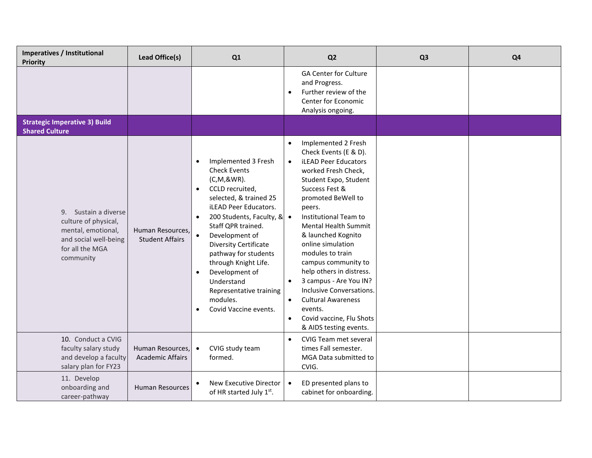| <b>Imperatives / Institutional</b><br><b>Priority</b>                                                                       | Lead Office(s)                              | Q1                                                                                                                                                                                                                                                                                                                                                                                                                    | Q <sub>2</sub>                                                                                                                                                                                                                                                                                                                                                                                                                                                                                                                                                        | Q <sub>3</sub> | Q <sub>4</sub> |
|-----------------------------------------------------------------------------------------------------------------------------|---------------------------------------------|-----------------------------------------------------------------------------------------------------------------------------------------------------------------------------------------------------------------------------------------------------------------------------------------------------------------------------------------------------------------------------------------------------------------------|-----------------------------------------------------------------------------------------------------------------------------------------------------------------------------------------------------------------------------------------------------------------------------------------------------------------------------------------------------------------------------------------------------------------------------------------------------------------------------------------------------------------------------------------------------------------------|----------------|----------------|
|                                                                                                                             |                                             |                                                                                                                                                                                                                                                                                                                                                                                                                       | <b>GA Center for Culture</b><br>and Progress.<br>Further review of the<br>$\bullet$<br>Center for Economic<br>Analysis ongoing.                                                                                                                                                                                                                                                                                                                                                                                                                                       |                |                |
| <b>Strategic Imperative 3) Build</b><br><b>Shared Culture</b>                                                               |                                             |                                                                                                                                                                                                                                                                                                                                                                                                                       |                                                                                                                                                                                                                                                                                                                                                                                                                                                                                                                                                                       |                |                |
| 9. Sustain a diverse<br>culture of physical,<br>mental, emotional,<br>and social well-being<br>for all the MGA<br>community | Human Resources,<br><b>Student Affairs</b>  | Implemented 3 Fresh<br>$\bullet$<br><b>Check Events</b><br>(C,M,&WR).<br>CCLD recruited,<br>$\bullet$<br>selected, & trained 25<br><b>iLEAD Peer Educators.</b><br>200 Students, Faculty, & •<br>Staff QPR trained.<br>Development of<br><b>Diversity Certificate</b><br>pathway for students<br>through Knight Life.<br>Development of<br>Understand<br>Representative training<br>modules.<br>Covid Vaccine events. | Implemented 2 Fresh<br>$\bullet$<br>Check Events (E & D).<br><b>iLEAD Peer Educators</b><br>$\bullet$<br>worked Fresh Check,<br>Student Expo, Student<br>Success Fest &<br>promoted BeWell to<br>peers.<br>Institutional Team to<br>Mental Health Summit<br>& launched Kognito<br>online simulation<br>modules to train<br>campus community to<br>help others in distress.<br>3 campus - Are You IN?<br>$\bullet$<br>Inclusive Conversations.<br><b>Cultural Awareness</b><br>$\bullet$<br>events.<br>Covid vaccine, Flu Shots<br>$\bullet$<br>& AIDS testing events. |                |                |
| 10. Conduct a CVIG<br>faculty salary study<br>and develop a faculty<br>salary plan for FY23                                 | Human Resources,<br><b>Academic Affairs</b> | CVIG study team<br>$\bullet$<br>formed.                                                                                                                                                                                                                                                                                                                                                                               | <b>CVIG Team met several</b><br>$\bullet$<br>times Fall semester.<br>MGA Data submitted to<br>CVIG.                                                                                                                                                                                                                                                                                                                                                                                                                                                                   |                |                |
| 11. Develop<br>onboarding and<br>career-pathway                                                                             | <b>Human Resources</b>                      | New Executive Director<br>of HR started July 1st.                                                                                                                                                                                                                                                                                                                                                                     | ED presented plans to<br>$\bullet$<br>cabinet for onboarding.                                                                                                                                                                                                                                                                                                                                                                                                                                                                                                         |                |                |